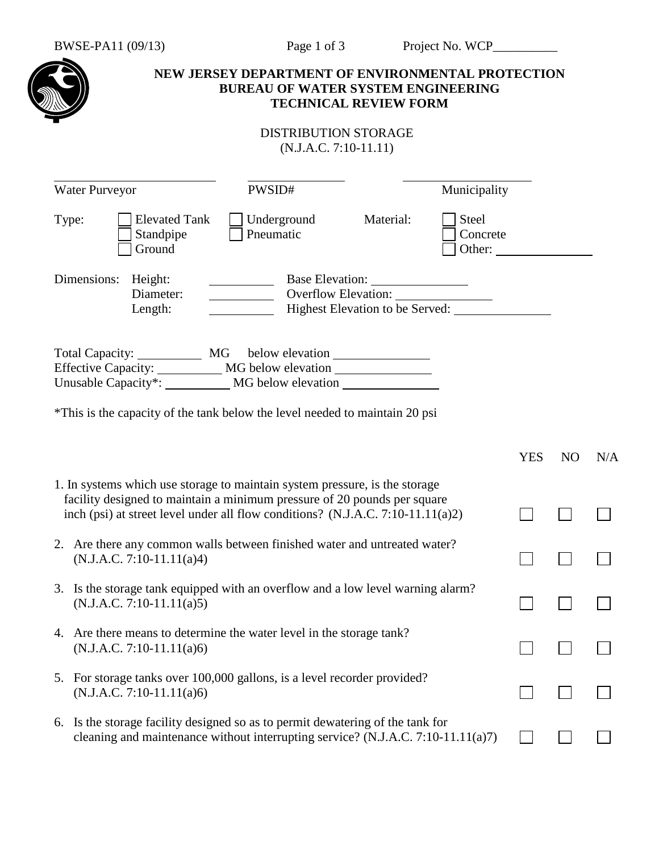

## **NEW JERSEY DEPARTMENT OF ENVIRONMENTAL PROTECTION BUREAU OF WATER SYSTEM ENGINEERING TECHNICAL REVIEW FORM**

## DISTRIBUTION STORAGE (N.J.A.C. 7:10-11.11)

|       | <b>Water Purveyor</b>                                                                                                                                                                                                                      | PWSID#                   |                                 | Municipality                       |            |                |     |
|-------|--------------------------------------------------------------------------------------------------------------------------------------------------------------------------------------------------------------------------------------------|--------------------------|---------------------------------|------------------------------------|------------|----------------|-----|
| Type: | <b>Elevated Tank</b><br>Standpipe<br>Ground                                                                                                                                                                                                | Underground<br>Pneumatic | Material:                       | <b>Steel</b><br>Concrete<br>Other: |            |                |     |
|       | Dimensions:<br>Height:<br>Diameter:<br>Length:                                                                                                                                                                                             |                          | Highest Elevation to be Served: |                                    |            |                |     |
|       | Effective Capacity: ___________ MG below elevation ________________<br>Unusable Capacity*: ___________ MG below elevation _____________________________                                                                                    |                          |                                 |                                    |            |                |     |
|       | *This is the capacity of the tank below the level needed to maintain 20 psi                                                                                                                                                                |                          |                                 |                                    |            |                |     |
|       |                                                                                                                                                                                                                                            |                          |                                 |                                    | <b>YES</b> | N <sub>O</sub> | N/A |
|       | 1. In systems which use storage to maintain system pressure, is the storage<br>facility designed to maintain a minimum pressure of 20 pounds per square<br>inch (psi) at street level under all flow conditions? (N.J.A.C. 7:10-11.11(a)2) |                          |                                 |                                    |            |                |     |
|       | 2. Are there any common walls between finished water and untreated water?<br>$(N.J.A.C. 7:10-11.11(a)4)$                                                                                                                                   |                          |                                 |                                    |            |                |     |
|       | 3. Is the storage tank equipped with an overflow and a low level warning alarm?<br>$(N.J.A.C. 7:10-11.11(a)5)$                                                                                                                             |                          |                                 |                                    |            |                |     |
|       | 4. Are there means to determine the water level in the storage tank?<br>$(N.J.A.C. 7:10-11.11(a)6)$                                                                                                                                        |                          |                                 |                                    |            |                |     |
|       | 5. For storage tanks over 100,000 gallons, is a level recorder provided?<br>$(N.J.A.C. 7:10-11.11(a)6)$                                                                                                                                    |                          |                                 |                                    |            |                |     |
|       | 6. Is the storage facility designed so as to permit dewatering of the tank for<br>cleaning and maintenance without interrupting service? (N.J.A.C. 7:10-11.11(a)7)                                                                         |                          |                                 |                                    |            |                |     |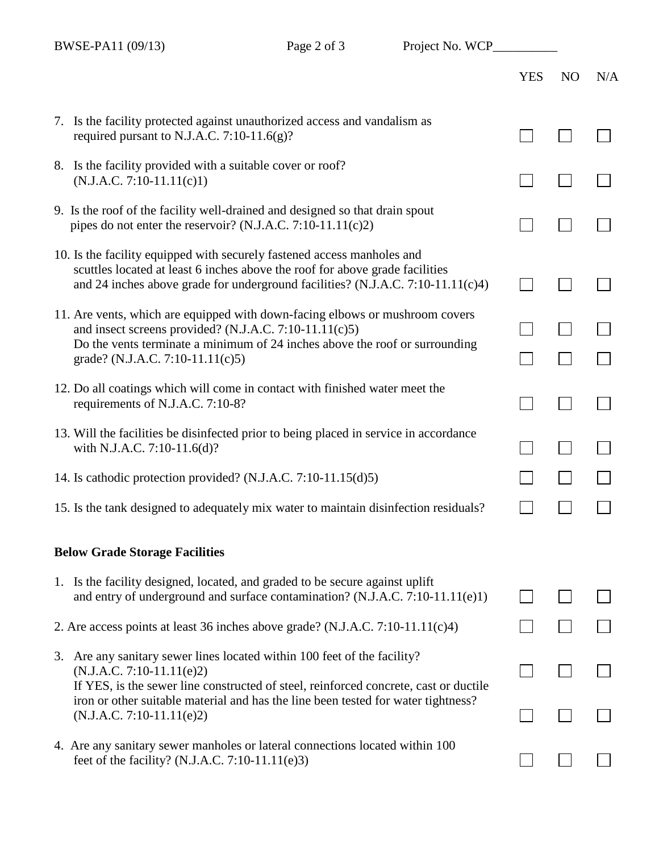BWSE-PA11  $(0.0/13)$  Page 2 of 3 Project No. WCP

| $BW\$ | Page $2$ or $3$                                                                                                                                                                                                                                                                                                  | Project No. WCP |            |                |     |
|-------|------------------------------------------------------------------------------------------------------------------------------------------------------------------------------------------------------------------------------------------------------------------------------------------------------------------|-----------------|------------|----------------|-----|
|       |                                                                                                                                                                                                                                                                                                                  |                 | <b>YES</b> | N <sub>O</sub> | N/A |
|       | 7. Is the facility protected against unauthorized access and vandalism as<br>required pursant to N.J.A.C. 7:10-11.6(g)?                                                                                                                                                                                          |                 |            |                |     |
|       | 8. Is the facility provided with a suitable cover or roof?<br>$(N.J.A.C. 7:10-11.11(c)1)$                                                                                                                                                                                                                        |                 |            |                |     |
|       | 9. Is the roof of the facility well-drained and designed so that drain spout<br>pipes do not enter the reservoir? (N.J.A.C. 7:10-11.11(c)2)                                                                                                                                                                      |                 |            |                |     |
|       | 10. Is the facility equipped with securely fastened access manholes and<br>scuttles located at least 6 inches above the roof for above grade facilities<br>and 24 inches above grade for underground facilities? (N.J.A.C. $7:10-11.11(c)4$ )                                                                    |                 |            |                |     |
|       | 11. Are vents, which are equipped with down-facing elbows or mushroom covers<br>and insect screens provided? (N.J.A.C. 7:10-11.11(c)5)<br>Do the vents terminate a minimum of 24 inches above the roof or surrounding<br>grade? (N.J.A.C. 7:10-11.11(c)5)                                                        |                 |            |                |     |
|       | 12. Do all coatings which will come in contact with finished water meet the<br>requirements of N.J.A.C. 7:10-8?                                                                                                                                                                                                  |                 |            |                |     |
|       | 13. Will the facilities be disinfected prior to being placed in service in accordance<br>with N.J.A.C. 7:10-11.6(d)?                                                                                                                                                                                             |                 |            |                |     |
|       | 14. Is cathodic protection provided? (N.J.A.C. 7:10-11.15(d)5)                                                                                                                                                                                                                                                   |                 |            |                |     |
|       | 15. Is the tank designed to adequately mix water to maintain disinfection residuals?                                                                                                                                                                                                                             |                 |            |                |     |
|       | <b>Below Grade Storage Facilities</b>                                                                                                                                                                                                                                                                            |                 |            |                |     |
|       | 1. Is the facility designed, located, and graded to be secure against uplift<br>and entry of underground and surface contamination? (N.J.A.C. 7:10-11.11(e)1)                                                                                                                                                    |                 |            |                |     |
|       | 2. Are access points at least 36 inches above grade? (N.J.A.C. 7:10-11.11(c)4)                                                                                                                                                                                                                                   |                 |            |                |     |
| 3.    | Are any sanitary sewer lines located within 100 feet of the facility?<br>$(N.J.A.C. 7:10-11.11(e)2)$<br>If YES, is the sewer line constructed of steel, reinforced concrete, cast or ductile<br>iron or other suitable material and has the line been tested for water tightness?<br>$(N.J.A.C. 7:10-11.11(e)2)$ |                 |            |                |     |
|       |                                                                                                                                                                                                                                                                                                                  |                 |            |                |     |
|       | 4. Are any sanitary sewer manholes or lateral connections located within 100<br>feet of the facility? (N.J.A.C. 7:10-11.11(e)3)                                                                                                                                                                                  |                 |            |                |     |